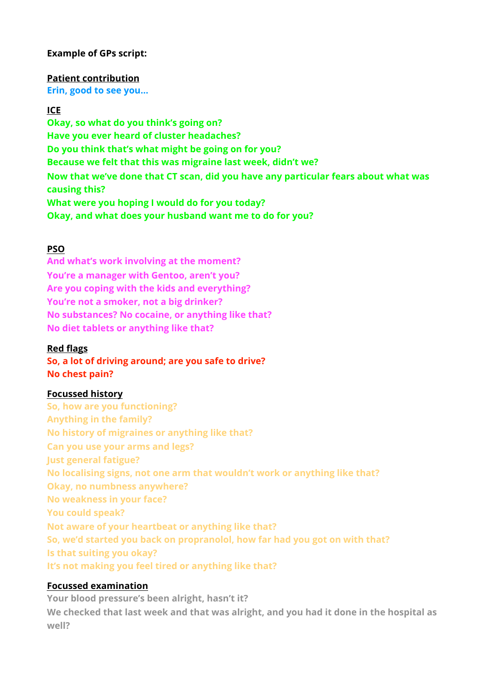## **Example of GPs script:**

### **Patient contribution**

**Erin, good to see you…** 

#### **ICE**

**Okay, so what do you think's going on? Have you ever heard of cluster headaches? Do you think that's what might be going on for you? Because we felt that this was migraine last week, didn't we? Now that we've done that CT scan, did you have any particular fears about what was causing this? What were you hoping I would do for you today? Okay, and what does your husband want me to do for you?** 

### **PSO**

**And what's work involving at the moment? You're a manager with Gentoo, aren't you? Are you coping with the kids and everything? You're not a smoker, not a big drinker? No substances? No cocaine, or anything like that? No diet tablets or anything like that?** 

#### **Red flags**

**So, a lot of driving around; are you safe to drive? No chest pain?** 

### **Focussed history**

**So, how are you functioning? Anything in the family? No history of migraines or anything like that? Can you use your arms and legs? Just general fatigue? No localising signs, not one arm that wouldn't work or anything like that? Okay, no numbness anywhere? No weakness in your face? You could speak? Not aware of your heartbeat or anything like that? So, we'd started you back on propranolol, how far had you got on with that? Is that suiting you okay? It's not making you feel tired or anything like that?**

### **Focussed examination**

**Your blood pressure's been alright, hasn't it? We checked that last week and that was alright, and you had it done in the hospital as well?**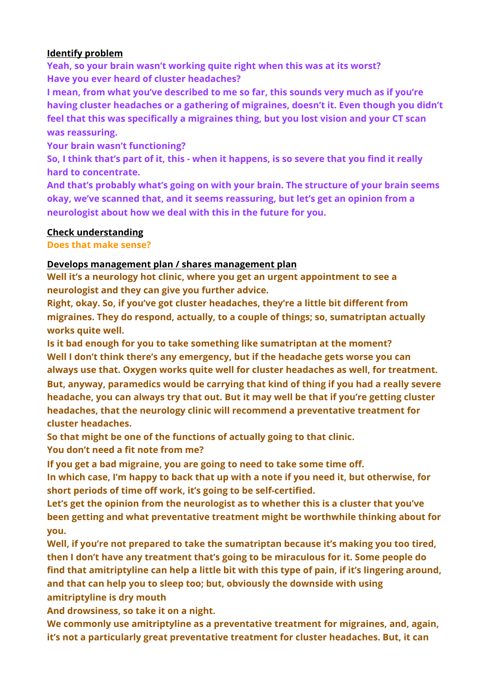## **Identify problem**

**Yeah, so your brain wasn't working quite right when this was at its worst? Have you ever heard of cluster headaches?** 

**I mean, from what you've described to me so far, this sounds very much as if you're having cluster headaches or a gathering of migraines, doesn't it. Even though you didn't feel that this was specifically a migraines thing, but you lost vision and your CT scan was reassuring.** 

**Your brain wasn't functioning?** 

**So, I think that's part of it, this - when it happens, is so severe that you find it really hard to concentrate.** 

**And that's probably what's going on with your brain. The structure of your brain seems okay, we've scanned that, and it seems reassuring, but let's get an opinion from a neurologist about how we deal with this in the future for you.** 

## **Check understanding**

**Does that make sense?** 

# **Develops management plan / shares management plan**

**Well it's a neurology hot clinic, where you get an urgent appointment to see a neurologist and they can give you further advice.** 

**Right, okay. So, if you've got cluster headaches, they're a little bit different from migraines. They do respond, actually, to a couple of things; so, sumatriptan actually works quite well.** 

**Is it bad enough for you to take something like sumatriptan at the moment? Well I don't think there's any emergency, but if the headache gets worse you can always use that. Oxygen works quite well for cluster headaches as well, for treatment. But, anyway, paramedics would be carrying that kind of thing if you had a really severe headache, you can always try that out. But it may well be that if you're getting cluster headaches, that the neurology clinic will recommend a preventative treatment for cluster headaches.** 

**So that might be one of the functions of actually going to that clinic.** 

**You don't need a fit note from me?** 

**If you get a bad migraine, you are going to need to take some time off.** 

**In which case, I'm happy to back that up with a note if you need it, but otherwise, for short periods of time off work, it's going to be self-certified.** 

**Let's get the opinion from the neurologist as to whether this is a cluster that you've been getting and what preventative treatment might be worthwhile thinking about for you.** 

**Well, if you're not prepared to take the sumatriptan because it's making you too tired, then I don't have any treatment that's going to be miraculous for it. Some people do find that amitriptyline can help a little bit with this type of pain, if it's lingering around, and that can help you to sleep too; but, obviously the downside with using amitriptyline is dry mouth** 

**And drowsiness, so take it on a night.** 

**We commonly use amitriptyline as a preventative treatment for migraines, and, again, it's not a particularly great preventative treatment for cluster headaches. But, it can**